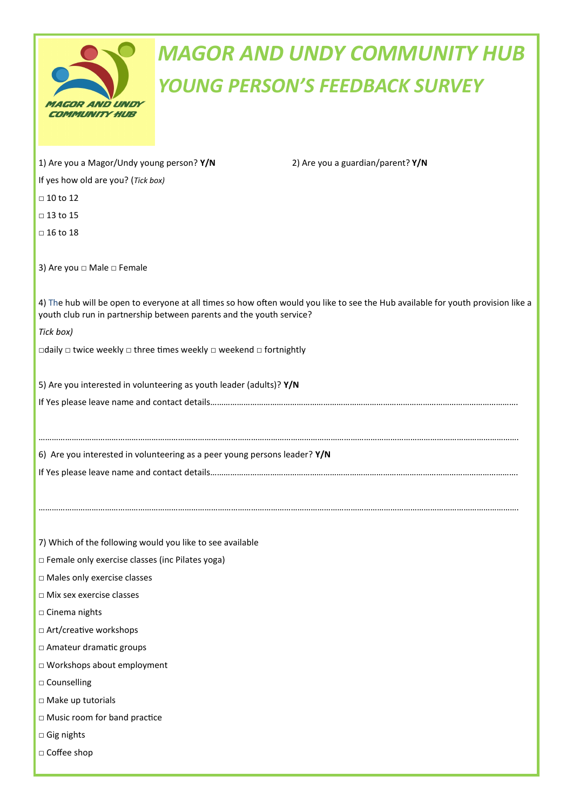| <b>MAGOR AND UNDY</b><br>COMMUNITY HUB |
|----------------------------------------|

## *MAGOR AND UNDY COMMUNITY HUB YOUNG PERSON'S FEEDBACK SURVEY*

| 1) Are you a Magor/Undy young person? Y/N                                                                                                                                                                | 2) Are you a guardian/parent? Y/N |  |
|----------------------------------------------------------------------------------------------------------------------------------------------------------------------------------------------------------|-----------------------------------|--|
| If yes how old are you? (Tick box)                                                                                                                                                                       |                                   |  |
| $\Box$ 10 to 12                                                                                                                                                                                          |                                   |  |
| $\Box$ 13 to 15                                                                                                                                                                                          |                                   |  |
| $\Box$ 16 to 18                                                                                                                                                                                          |                                   |  |
| 3) Are you □ Male □ Female                                                                                                                                                                               |                                   |  |
| 4) The hub will be open to everyone at all times so how often would you like to see the Hub available for youth provision like a<br>youth club run in partnership between parents and the youth service? |                                   |  |
| Tick box)<br>$\Box$ daily $\Box$ twice weekly $\Box$ three times weekly $\Box$ weekend $\Box$ fortnightly                                                                                                |                                   |  |
|                                                                                                                                                                                                          |                                   |  |
|                                                                                                                                                                                                          |                                   |  |
| 6) Are you interested in volunteering as a peer young persons leader? Y/N                                                                                                                                |                                   |  |
| 7) Which of the following would you like to see available                                                                                                                                                |                                   |  |
| □ Female only exercise classes (inc Pilates yoga)                                                                                                                                                        |                                   |  |
| $\Box$ Males only exercise classes<br>□ Mix sex exercise classes                                                                                                                                         |                                   |  |
| □ Cinema nights                                                                                                                                                                                          |                                   |  |
| □ Art/creative workshops                                                                                                                                                                                 |                                   |  |
| □ Amateur dramatic groups                                                                                                                                                                                |                                   |  |
| □ Workshops about employment                                                                                                                                                                             |                                   |  |
| □ Counselling                                                                                                                                                                                            |                                   |  |
| □ Make up tutorials                                                                                                                                                                                      |                                   |  |
| □ Music room for band practice                                                                                                                                                                           |                                   |  |
| □ Gig nights                                                                                                                                                                                             |                                   |  |
| □ Coffee shop                                                                                                                                                                                            |                                   |  |
|                                                                                                                                                                                                          |                                   |  |